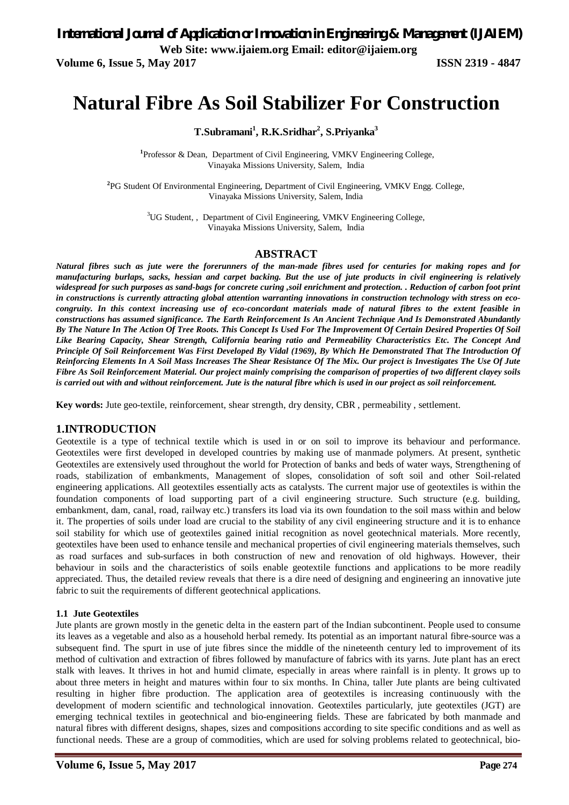**Volume 6, Issue 5, May 2017 ISSN 2319 - 4847** 

# **Natural Fibre As Soil Stabilizer For Construction**

## **T.Subramani<sup>1</sup> , R.K.Sridhar<sup>2</sup> , S.Priyanka<sup>3</sup>**

<sup>1</sup>Professor & Dean, Department of Civil Engineering, VMKV Engineering College, Vinayaka Missions University, Salem, India

**2** PG Student Of Environmental Engineering, Department of Civil Engineering, VMKV Engg. College, Vinayaka Missions University, Salem, India

> <sup>3</sup>UG Student, , Department of Civil Engineering, VMKV Engineering College, Vinayaka Missions University, Salem, India

#### **ABSTRACT**

*Natural fibres such as jute were the forerunners of the man-made fibres used for centuries for making ropes and for manufacturing burlaps, sacks, hessian and carpet backing. But the use of jute products in civil engineering is relatively widespread for such purposes as sand-bags for concrete curing ,soil enrichment and protection. . Reduction of carbon foot print in constructions is currently attracting global attention warranting innovations in construction technology with stress on ecocongruity. In this context increasing use of eco-concordant materials made of natural fibres to the extent feasible in constructions has assumed significance. The Earth Reinforcement Is An Ancient Technique And Is Demonstrated Abundantly By The Nature In The Action Of Tree Roots. This Concept Is Used For The Improvement Of Certain Desired Properties Of Soil Like Bearing Capacity, Shear Strength, California bearing ratio and Permeability Characteristics Etc. The Concept And Principle Of Soil Reinforcement Was First Developed By Vidal (1969), By Which He Demonstrated That The Introduction Of Reinforcing Elements In A Soil Mass Increases The Shear Resistance Of The Mix. Our project is Investigates The Use Of Jute Fibre As Soil Reinforcement Material. Our project mainly comprising the comparison of properties of two different clayey soils is carried out with and without reinforcement. Jute is the natural fibre which is used in our project as soil reinforcement.*

**Key words:** Jute geo-textile, reinforcement, shear strength, dry density, CBR , permeability , settlement.

#### **1.INTRODUCTION**

Geotextile is a type of technical textile which is used in or on soil to improve its behaviour and performance. Geotextiles were first developed in developed countries by making use of manmade polymers. At present, synthetic Geotextiles are extensively used throughout the world for Protection of banks and beds of water ways, Strengthening of roads, stabilization of embankments, Management of slopes, consolidation of soft soil and other Soil-related engineering applications. All geotextiles essentially acts as catalysts. The current major use of geotextiles is within the foundation components of load supporting part of a civil engineering structure. Such structure (e.g. building, embankment, dam, canal, road, railway etc.) transfers its load via its own foundation to the soil mass within and below it. The properties of soils under load are crucial to the stability of any civil engineering structure and it is to enhance soil stability for which use of geotextiles gained initial recognition as novel geotechnical materials. More recently, geotextiles have been used to enhance tensile and mechanical properties of civil engineering materials themselves, such as road surfaces and sub-surfaces in both construction of new and renovation of old highways. However, their behaviour in soils and the characteristics of soils enable geotextile functions and applications to be more readily appreciated. Thus, the detailed review reveals that there is a dire need of designing and engineering an innovative jute fabric to suit the requirements of different geotechnical applications.

#### **1.1 Jute Geotextiles**

Jute plants are grown mostly in the genetic delta in the eastern part of the Indian subcontinent. People used to consume its leaves as a vegetable and also as a household herbal remedy. Its potential as an important natural fibre-source was a subsequent find. The spurt in use of jute fibres since the middle of the nineteenth century led to improvement of its method of cultivation and extraction of fibres followed by manufacture of fabrics with its yarns. Jute plant has an erect stalk with leaves. It thrives in hot and humid climate, especially in areas where rainfall is in plenty. It grows up to about three meters in height and matures within four to six months. In China, taller Jute plants are being cultivated resulting in higher fibre production. The application area of geotextiles is increasing continuously with the development of modern scientific and technological innovation. Geotextiles particularly, jute geotextiles (JGT) are emerging technical textiles in geotechnical and bio-engineering fields. These are fabricated by both manmade and natural fibres with different designs, shapes, sizes and compositions according to site specific conditions and as well as functional needs. These are a group of commodities, which are used for solving problems related to geotechnical, bio-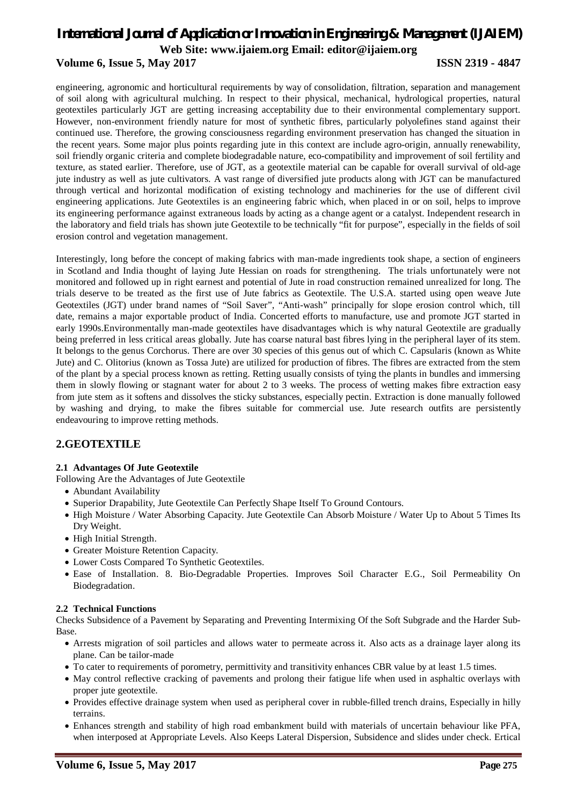### **Volume 6, Issue 5, May 2017 ISSN 2319 - 4847**

engineering, agronomic and horticultural requirements by way of consolidation, filtration, separation and management of soil along with agricultural mulching. In respect to their physical, mechanical, hydrological properties, natural geotextiles particularly JGT are getting increasing acceptability due to their environmental complementary support. However, non-environment friendly nature for most of synthetic fibres, particularly polyolefines stand against their continued use. Therefore, the growing consciousness regarding environment preservation has changed the situation in the recent years. Some major plus points regarding jute in this context are include agro-origin, annually renewability, soil friendly organic criteria and complete biodegradable nature, eco-compatibility and improvement of soil fertility and texture, as stated earlier. Therefore, use of JGT, as a geotextile material can be capable for overall survival of old-age jute industry as well as jute cultivators. A vast range of diversified jute products along with JGT can be manufactured through vertical and horizontal modification of existing technology and machineries for the use of different civil engineering applications. Jute Geotextiles is an engineering fabric which, when placed in or on soil, helps to improve its engineering performance against extraneous loads by acting as a change agent or a catalyst. Independent research in the laboratory and field trials has shown jute Geotextile to be technically "fit for purpose", especially in the fields of soil erosion control and vegetation management.

Interestingly, long before the concept of making fabrics with man-made ingredients took shape, a section of engineers in Scotland and India thought of laying Jute Hessian on roads for strengthening. The trials unfortunately were not monitored and followed up in right earnest and potential of Jute in road construction remained unrealized for long. The trials deserve to be treated as the first use of Jute fabrics as Geotextile. The U.S.A. started using open weave Jute Geotextiles (JGT) under brand names of "Soil Saver", "Anti-wash" principally for slope erosion control which, till date, remains a major exportable product of India. Concerted efforts to manufacture, use and promote JGT started in early 1990s.Environmentally man-made geotextiles have disadvantages which is why natural Geotextile are gradually being preferred in less critical areas globally. Jute has coarse natural bast fibres lying in the peripheral layer of its stem. It belongs to the genus Corchorus. There are over 30 species of this genus out of which C. Capsularis (known as White Jute) and C. Olitorius (known as Tossa Jute) are utilized for production of fibres. The fibres are extracted from the stem of the plant by a special process known as retting. Retting usually consists of tying the plants in bundles and immersing them in slowly flowing or stagnant water for about 2 to 3 weeks. The process of wetting makes fibre extraction easy from jute stem as it softens and dissolves the sticky substances, especially pectin. Extraction is done manually followed by washing and drying, to make the fibres suitable for commercial use. Jute research outfits are persistently endeavouring to improve retting methods.

### **2.GEOTEXTILE**

#### **2.1 Advantages Of Jute Geotextile**

Following Are the Advantages of Jute Geotextile

- Abundant Availability
- Superior Drapability, Jute Geotextile Can Perfectly Shape Itself To Ground Contours.
- High Moisture / Water Absorbing Capacity. Jute Geotextile Can Absorb Moisture / Water Up to About 5 Times Its Dry Weight.
- High Initial Strength.
- Greater Moisture Retention Capacity.
- Lower Costs Compared To Synthetic Geotextiles.
- Ease of Installation. 8. Bio-Degradable Properties. Improves Soil Character E.G., Soil Permeability On Biodegradation.

#### **2.2 Technical Functions**

Checks Subsidence of a Pavement by Separating and Preventing Intermixing Of the Soft Subgrade and the Harder Sub-Base.

- Arrests migration of soil particles and allows water to permeate across it. Also acts as a drainage layer along its plane. Can be tailor-made
- To cater to requirements of porometry, permittivity and transitivity enhances CBR value by at least 1.5 times.
- May control reflective cracking of pavements and prolong their fatigue life when used in asphaltic overlays with proper jute geotextile.
- Provides effective drainage system when used as peripheral cover in rubble-filled trench drains, Especially in hilly terrains.
- Enhances strength and stability of high road embankment build with materials of uncertain behaviour like PFA, when interposed at Appropriate Levels. Also Keeps Lateral Dispersion, Subsidence and slides under check. Ertical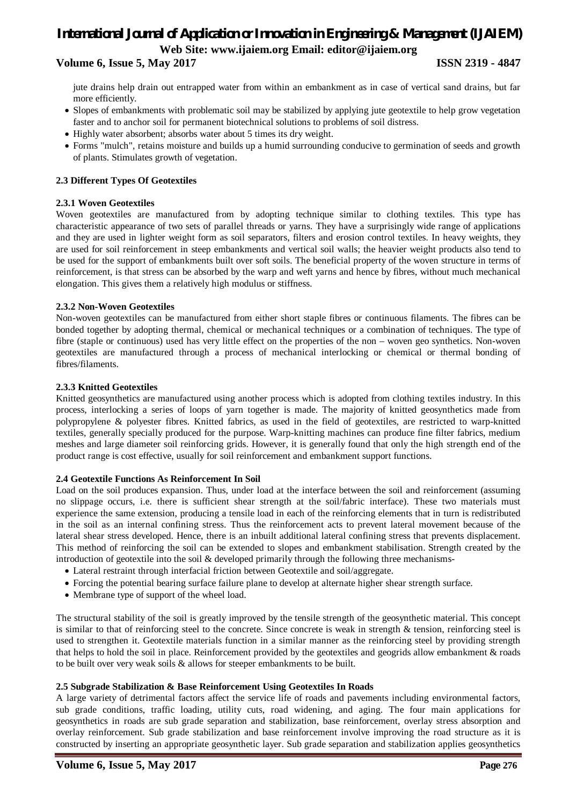# *International Journal of Application or Innovation in Engineering & Management (IJAIEM)* **Web Site: www.ijaiem.org Email: editor@ijaiem.org Volume 6, Issue 5, May 2017 ISSN 2319 - 4847**

jute drains help drain out entrapped water from within an embankment as in case of vertical sand drains, but far more efficiently.

- Slopes of embankments with problematic soil may be stabilized by applying jute geotextile to help grow vegetation faster and to anchor soil for permanent biotechnical solutions to problems of soil distress.
- Highly water absorbent; absorbs water about 5 times its dry weight.
- Forms "mulch", retains moisture and builds up a humid surrounding conducive to germination of seeds and growth of plants. Stimulates growth of vegetation.

#### **2.3 Different Types Of Geotextiles**

#### **2.3.1 Woven Geotextiles**

Woven geotextiles are manufactured from by adopting technique similar to clothing textiles. This type has characteristic appearance of two sets of parallel threads or yarns. They have a surprisingly wide range of applications and they are used in lighter weight form as soil separators, filters and erosion control textiles. In heavy weights, they are used for soil reinforcement in steep embankments and vertical soil walls; the heavier weight products also tend to be used for the support of embankments built over soft soils. The beneficial property of the woven structure in terms of reinforcement, is that stress can be absorbed by the warp and weft yarns and hence by fibres, without much mechanical elongation. This gives them a relatively high modulus or stiffness.

#### **2.3.2 Non-Woven Geotextiles**

Non-woven geotextiles can be manufactured from either short staple fibres or continuous filaments. The fibres can be bonded together by adopting thermal, chemical or mechanical techniques or a combination of techniques. The type of fibre (staple or continuous) used has very little effect on the properties of the non – woven geo synthetics. Non-woven geotextiles are manufactured through a process of mechanical interlocking or chemical or thermal bonding of fibres/filaments.

#### **2.3.3 Knitted Geotextiles**

Knitted geosynthetics are manufactured using another process which is adopted from clothing textiles industry. In this process, interlocking a series of loops of yarn together is made. The majority of knitted geosynthetics made from polypropylene & polyester fibres. Knitted fabrics, as used in the field of geotextiles, are restricted to warp-knitted textiles, generally specially produced for the purpose. Warp-knitting machines can produce fine filter fabrics, medium meshes and large diameter soil reinforcing grids. However, it is generally found that only the high strength end of the product range is cost effective, usually for soil reinforcement and embankment support functions.

#### **2.4 Geotextile Functions As Reinforcement In Soil**

Load on the soil produces expansion. Thus, under load at the interface between the soil and reinforcement (assuming no slippage occurs, i.e. there is sufficient shear strength at the soil/fabric interface). These two materials must experience the same extension, producing a tensile load in each of the reinforcing elements that in turn is redistributed in the soil as an internal confining stress. Thus the reinforcement acts to prevent lateral movement because of the lateral shear stress developed. Hence, there is an inbuilt additional lateral confining stress that prevents displacement. This method of reinforcing the soil can be extended to slopes and embankment stabilisation. Strength created by the introduction of geotextile into the soil & developed primarily through the following three mechanisms-

- Lateral restraint through interfacial friction between Geotextile and soil/aggregate.
- Forcing the potential bearing surface failure plane to develop at alternate higher shear strength surface.
- Membrane type of support of the wheel load.

The structural stability of the soil is greatly improved by the tensile strength of the geosynthetic material. This concept is similar to that of reinforcing steel to the concrete. Since concrete is weak in strength & tension, reinforcing steel is used to strengthen it. Geotextile materials function in a similar manner as the reinforcing steel by providing strength that helps to hold the soil in place. Reinforcement provided by the geotextiles and geogrids allow embankment & roads to be built over very weak soils & allows for steeper embankments to be built.

#### **2.5 Subgrade Stabilization & Base Reinforcement Using Geotextiles In Roads**

A large variety of detrimental factors affect the service life of roads and pavements including environmental factors, sub grade conditions, traffic loading, utility cuts, road widening, and aging. The four main applications for geosynthetics in roads are sub grade separation and stabilization, base reinforcement, overlay stress absorption and overlay reinforcement. Sub grade stabilization and base reinforcement involve improving the road structure as it is constructed by inserting an appropriate geosynthetic layer. Sub grade separation and stabilization applies geosynthetics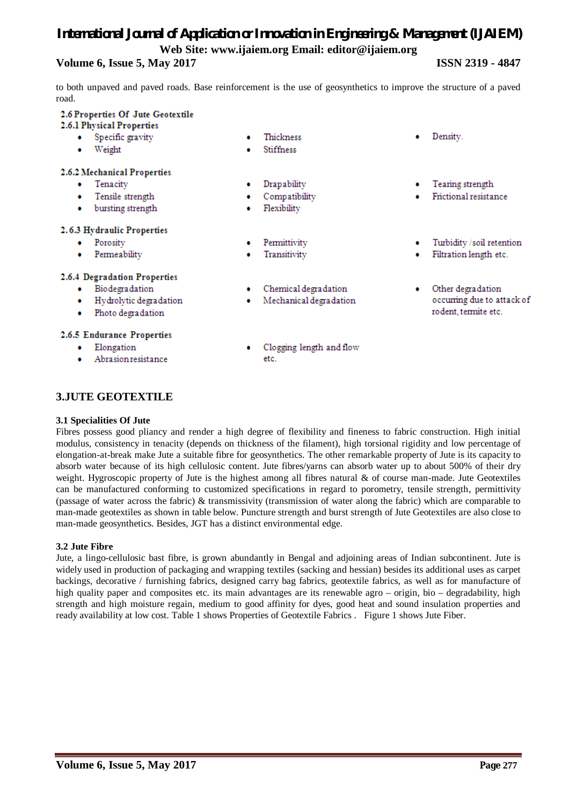### **Volume 6, Issue 5, May 2017 ISSN 2319 - 4847**

to both unpaved and paved roads. Base reinforcement is the use of geosynthetics to improve the structure of a paved road.

Thickness

Stiffness

Drapability

**Flexibility** 

Permittivity

Transitivity

 $\bullet$ 

 $\bullet$ 

etc.

Compatibility

#### 2.6 Properties Of Jute Geotextile

#### 2.6.1 Physical Properties

- Specific gravity
- Weight

#### 2.6.2 Mechanical Properties

- Tenacity ٠
- Tensile strength  $\bullet$
- bursting strength ۰

#### 2.6.3 Hydraulic Properties

- Porosity ٠
- Permeability

#### 2.6.4 Degradation Properties

- Biodegradation
- $\bullet$ Hydrolytic degradation
- Photo degradation  $\bullet$

#### 2.6.5 Endurance Properties

- Elongation ٠
- Abrasion resistance  $\bullet$

Chemical degradation

Mechanical degradation

Clogging length and flow

- Density.
- Tearing strength
- Frictional resistance
- Turbidity /soil retention ۰
- Filtration length etc.
- Other degradation occurring due to attack of rodent, termite etc.

**3.JUTE GEOTEXTILE**

#### **3.1 Specialities Of Jute**

Fibres possess good pliancy and render a high degree of flexibility and fineness to fabric construction. High initial modulus, consistency in tenacity (depends on thickness of the filament), high torsional rigidity and low percentage of elongation-at-break make Jute a suitable fibre for geosynthetics. The other remarkable property of Jute is its capacity to absorb water because of its high cellulosic content. Jute fibres/yarns can absorb water up to about 500% of their dry weight. Hygroscopic property of Jute is the highest among all fibres natural & of course man-made. Jute Geotextiles can be manufactured conforming to customized specifications in regard to porometry, tensile strength, permittivity (passage of water across the fabric) & transmissivity (transmission of water along the fabric) which are comparable to man-made geotextiles as shown in table below. Puncture strength and burst strength of Jute Geotextiles are also close to man-made geosynthetics. Besides, JGT has a distinct environmental edge.

#### **3.2 Jute Fibre**

Jute, a lingo-cellulosic bast fibre, is grown abundantly in Bengal and adjoining areas of Indian subcontinent. Jute is widely used in production of packaging and wrapping textiles (sacking and hessian) besides its additional uses as carpet backings, decorative / furnishing fabrics, designed carry bag fabrics, geotextile fabrics, as well as for manufacture of high quality paper and composites etc. its main advantages are its renewable agro – origin, bio – degradability, high strength and high moisture regain, medium to good affinity for dyes, good heat and sound insulation properties and ready availability at low cost. Table 1 shows Properties of Geotextile Fabrics . Figure 1 shows Jute Fiber.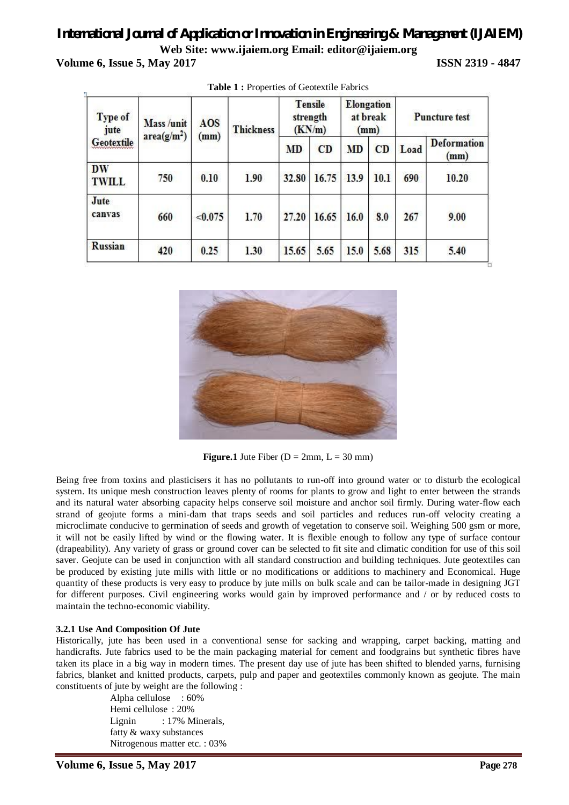**Volume 6, Issue 5, May 2017 ISSN 2319 - 4847** 

| Type of<br>jute<br>Geotextile | Mass /unit<br>area(g/m <sup>2</sup> ) | AOS<br>(mm) | <b>Thickness</b> | <b>Tensile</b><br>strength<br>(KN/m) |       | Elongation<br>at break<br>(mm) |      | <b>Puncture test</b> |                            |
|-------------------------------|---------------------------------------|-------------|------------------|--------------------------------------|-------|--------------------------------|------|----------------------|----------------------------|
|                               |                                       |             |                  | MD                                   | CD    | <b>MD</b>                      | CD   | Load                 | <b>Deformation</b><br>(mm) |
| <b>DW</b><br><b>TWILL</b>     | 750                                   | 0.10        | 1.90             | 32.80                                | 16.75 | 13.9                           | 10.1 | 690                  | 10.20                      |
| Jute<br>canvas                | 660                                   | < 0.075     | 1.70             | 27.20                                | 16.65 | 16.0                           | 8.0  | 267                  | 9.00                       |
| Russian                       | 420                                   | 0.25        | 1.30             | 15.65                                | 5.65  | 15.0                           | 5.68 | 315                  | 5.40                       |

**Table 1 :** Properties of Geotextile Fabrics



**Figure.1** Jute Fiber ( $D = 2mm$ ,  $L = 30 mm$ )

Being free from toxins and plasticisers it has no pollutants to run-off into ground water or to disturb the ecological system. Its unique mesh construction leaves plenty of rooms for plants to grow and light to enter between the strands and its natural water absorbing capacity helps conserve soil moisture and anchor soil firmly. During water-flow each strand of geojute forms a mini-dam that traps seeds and soil particles and reduces run-off velocity creating a microclimate conducive to germination of seeds and growth of vegetation to conserve soil. Weighing 500 gsm or more, it will not be easily lifted by wind or the flowing water. It is flexible enough to follow any type of surface contour (drapeability). Any variety of grass or ground cover can be selected to fit site and climatic condition for use of this soil saver. Geojute can be used in conjunction with all standard construction and building techniques. Jute geotextiles can be produced by existing jute mills with little or no modifications or additions to machinery and Economical. Huge quantity of these products is very easy to produce by jute mills on bulk scale and can be tailor-made in designing JGT for different purposes. Civil engineering works would gain by improved performance and / or by reduced costs to maintain the techno-economic viability.

#### **3.2.1 Use And Composition Of Jute**

Historically, jute has been used in a conventional sense for sacking and wrapping, carpet backing, matting and handicrafts. Jute fabrics used to be the main packaging material for cement and foodgrains but synthetic fibres have taken its place in a big way in modern times. The present day use of jute has been shifted to blended yarns, furnising fabrics, blanket and knitted products, carpets, pulp and paper and geotextiles commonly known as geojute. The main constituents of jute by weight are the following :

Alpha cellulose : 60% Hemi cellulose : 20% Lignin : 17% Minerals, fatty & waxy substances Nitrogenous matter etc. : 03%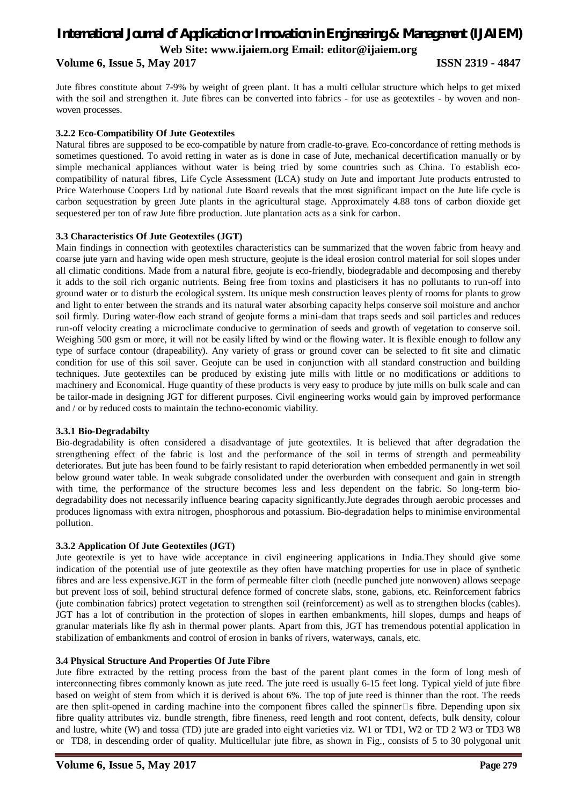#### **Volume 6, Issue 5, May 2017 ISSN 2319 - 4847**

Jute fibres constitute about 7-9% by weight of green plant. It has a multi cellular structure which helps to get mixed with the soil and strengthen it. Jute fibres can be converted into fabrics - for use as geotextiles - by woven and nonwoven processes.

#### **3.2.2 Eco-Compatibility Of Jute Geotextiles**

Natural fibres are supposed to be eco-compatible by nature from cradle-to-grave. Eco-concordance of retting methods is sometimes questioned. To avoid retting in water as is done in case of Jute, mechanical decertification manually or by simple mechanical appliances without water is being tried by some countries such as China. To establish ecocompatibility of natural fibres, Life Cycle Assessment (LCA) study on Jute and important Jute products entrusted to Price Waterhouse Coopers Ltd by national Jute Board reveals that the most significant impact on the Jute life cycle is carbon sequestration by green Jute plants in the agricultural stage. Approximately 4.88 tons of carbon dioxide get sequestered per ton of raw Jute fibre production. Jute plantation acts as a sink for carbon.

#### **3.3 Characteristics Of Jute Geotextiles (JGT)**

Main findings in connection with geotextiles characteristics can be summarized that the woven fabric from heavy and coarse jute yarn and having wide open mesh structure, geojute is the ideal erosion control material for soil slopes under all climatic conditions. Made from a natural fibre, geojute is eco-friendly, biodegradable and decomposing and thereby it adds to the soil rich organic nutrients. Being free from toxins and plasticisers it has no pollutants to run-off into ground water or to disturb the ecological system. Its unique mesh construction leaves plenty of rooms for plants to grow and light to enter between the strands and its natural water absorbing capacity helps conserve soil moisture and anchor soil firmly. During water-flow each strand of geojute forms a mini-dam that traps seeds and soil particles and reduces run-off velocity creating a microclimate conducive to germination of seeds and growth of vegetation to conserve soil. Weighing 500 gsm or more, it will not be easily lifted by wind or the flowing water. It is flexible enough to follow any type of surface contour (drapeability). Any variety of grass or ground cover can be selected to fit site and climatic condition for use of this soil saver. Geojute can be used in conjunction with all standard construction and building techniques. Jute geotextiles can be produced by existing jute mills with little or no modifications or additions to machinery and Economical. Huge quantity of these products is very easy to produce by jute mills on bulk scale and can be tailor-made in designing JGT for different purposes. Civil engineering works would gain by improved performance and / or by reduced costs to maintain the techno-economic viability.

#### **3.3.1 Bio-Degradabilty**

Bio-degradability is often considered a disadvantage of jute geotextiles. It is believed that after degradation the strengthening effect of the fabric is lost and the performance of the soil in terms of strength and permeability deteriorates. But jute has been found to be fairly resistant to rapid deterioration when embedded permanently in wet soil below ground water table. In weak subgrade consolidated under the overburden with consequent and gain in strength with time, the performance of the structure becomes less and less dependent on the fabric. So long-term biodegradability does not necessarily influence bearing capacity significantly.Jute degrades through aerobic processes and produces lignomass with extra nitrogen, phosphorous and potassium. Bio-degradation helps to minimise environmental pollution.

#### **3.3.2 Application Of Jute Geotextiles (JGT)**

Jute geotextile is yet to have wide acceptance in civil engineering applications in India.They should give some indication of the potential use of jute geotextile as they often have matching properties for use in place of synthetic fibres and are less expensive.JGT in the form of permeable filter cloth (needle punched jute nonwoven) allows seepage but prevent loss of soil, behind structural defence formed of concrete slabs, stone, gabions, etc. Reinforcement fabrics (jute combination fabrics) protect vegetation to strengthen soil (reinforcement) as well as to strengthen blocks (cables). JGT has a lot of contribution in the protection of slopes in earthen embankments, hill slopes, dumps and heaps of granular materials like fly ash in thermal power plants. Apart from this, JGT has tremendous potential application in stabilization of embankments and control of erosion in banks of rivers, waterways, canals, etc.

#### **3.4 Physical Structure And Properties Of Jute Fibre**

Jute fibre extracted by the retting process from the bast of the parent plant comes in the form of long mesh of interconnecting fibres commonly known as jute reed. The jute reed is usually 6-15 feet long. Typical yield of jute fibre based on weight of stem from which it is derived is about 6%. The top of jute reed is thinner than the root. The reeds are then split-opened in carding machine into the component fibres called the spinner  $\Box$  s fibre. Depending upon six fibre quality attributes viz. bundle strength, fibre fineness, reed length and root content, defects, bulk density, colour and lustre, white (W) and tossa (TD) jute are graded into eight varieties viz. W1 or TD1, W2 or TD 2 W3 or TD3 W8 or TD8, in descending order of quality. Multicellular jute fibre, as shown in Fig., consists of 5 to 30 polygonal unit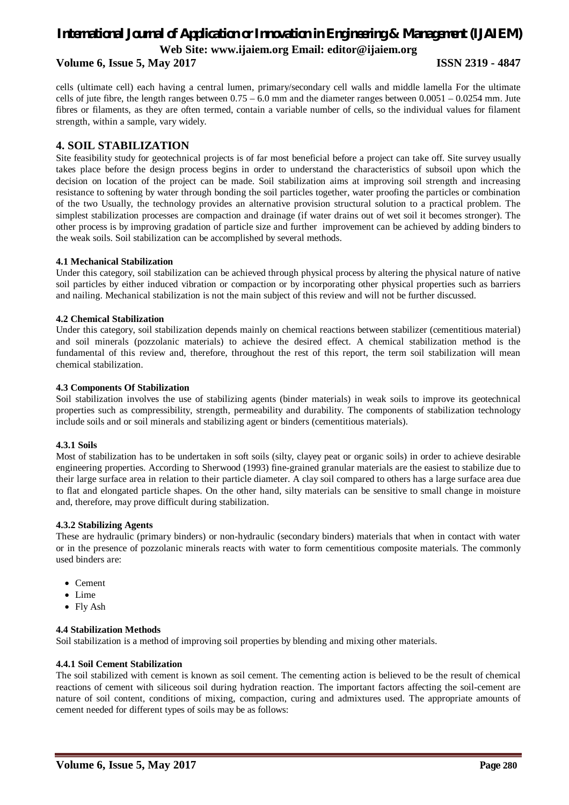#### **Volume 6, Issue 5, May 2017 ISSN 2319 - 4847**

cells (ultimate cell) each having a central lumen, primary/secondary cell walls and middle lamella For the ultimate cells of jute fibre, the length ranges between 0.75 – 6.0 mm and the diameter ranges between 0.0051 – 0.0254 mm. Jute fibres or filaments, as they are often termed, contain a variable number of cells, so the individual values for filament strength, within a sample, vary widely.

## **4. SOIL STABILIZATION**

Site feasibility study for geotechnical projects is of far most beneficial before a project can take off. Site survey usually takes place before the design process begins in order to understand the characteristics of subsoil upon which the decision on location of the project can be made. Soil stabilization aims at improving soil strength and increasing resistance to softening by water through bonding the soil particles together, water proofing the particles or combination of the two Usually, the technology provides an alternative provision structural solution to a practical problem. The simplest stabilization processes are compaction and drainage (if water drains out of wet soil it becomes stronger). The other process is by improving gradation of particle size and further improvement can be achieved by adding binders to the weak soils. Soil stabilization can be accomplished by several methods.

#### **4.1 Mechanical Stabilization**

Under this category, soil stabilization can be achieved through physical process by altering the physical nature of native soil particles by either induced vibration or compaction or by incorporating other physical properties such as barriers and nailing. Mechanical stabilization is not the main subject of this review and will not be further discussed.

#### **4.2 Chemical Stabilization**

Under this category, soil stabilization depends mainly on chemical reactions between stabilizer (cementitious material) and soil minerals (pozzolanic materials) to achieve the desired effect. A chemical stabilization method is the fundamental of this review and, therefore, throughout the rest of this report, the term soil stabilization will mean chemical stabilization.

#### **4.3 Components Of Stabilization**

Soil stabilization involves the use of stabilizing agents (binder materials) in weak soils to improve its geotechnical properties such as compressibility, strength, permeability and durability. The components of stabilization technology include soils and or soil minerals and stabilizing agent or binders (cementitious materials).

#### **4.3.1 Soils**

Most of stabilization has to be undertaken in soft soils (silty, clayey peat or organic soils) in order to achieve desirable engineering properties. According to Sherwood (1993) fine-grained granular materials are the easiest to stabilize due to their large surface area in relation to their particle diameter. A clay soil compared to others has a large surface area due to flat and elongated particle shapes. On the other hand, silty materials can be sensitive to small change in moisture and, therefore, may prove difficult during stabilization.

#### **4.3.2 Stabilizing Agents**

These are hydraulic (primary binders) or non-hydraulic (secondary binders) materials that when in contact with water or in the presence of pozzolanic minerals reacts with water to form cementitious composite materials. The commonly used binders are:

- Cement
- Lime
- Fly Ash

#### **4.4 Stabilization Methods**

Soil stabilization is a method of improving soil properties by blending and mixing other materials.

#### **4.4.1 Soil Cement Stabilization**

The soil stabilized with cement is known as soil cement. The cementing action is believed to be the result of chemical reactions of cement with siliceous soil during hydration reaction. The important factors affecting the soil-cement are nature of soil content, conditions of mixing, compaction, curing and admixtures used. The appropriate amounts of cement needed for different types of soils may be as follows: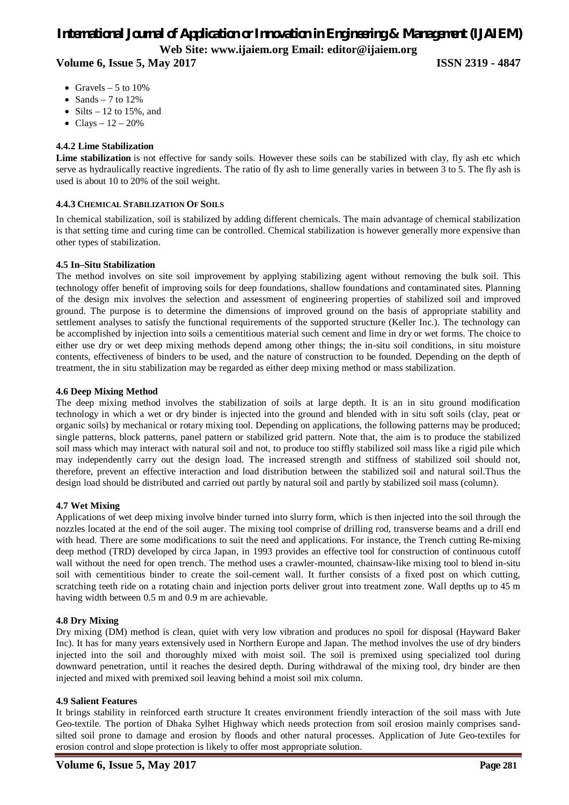# *International Journal of Application or Innovation in Engineering & Management (IJAIEM)* **Web Site: www.ijaiem.org Email: editor@ijaiem.org Volume 6, Issue 5, May 2017 ISSN 2319 - 4847**

- Gravels  $-5$  to 10%
- Sands 7 to  $12\%$
- Silts  $-12$  to 15%, and
- Clays  $-12 20%$

#### **4.4.2 Lime Stabilization**

Lime stabilization is not effective for sandy soils. However these soils can be stabilized with clay, fly ash etc which serve as hydraulically reactive ingredients. The ratio of fly ash to lime generally varies in between 3 to 5. The fly ash is used is about 10 to 20% of the soil weight.

#### **4.4.3 CHEMICAL STABILIZATION OF SOILS**

In chemical stabilization, soil is stabilized by adding different chemicals. The main advantage of chemical stabilization is that setting time and curing time can be controlled. Chemical stabilization is however generally more expensive than other types of stabilization.

#### **4.5 In–Situ Stabilization**

The method involves on site soil improvement by applying stabilizing agent without removing the bulk soil. This technology offer benefit of improving soils for deep foundations, shallow foundations and contaminated sites. Planning of the design mix involves the selection and assessment of engineering properties of stabilized soil and improved ground. The purpose is to determine the dimensions of improved ground on the basis of appropriate stability and settlement analyses to satisfy the functional requirements of the supported structure (Keller Inc.). The technology can be accomplished by injection into soils a cementitious material such cement and lime in dry or wet forms. The choice to either use dry or wet deep mixing methods depend among other things; the in-situ soil conditions, in situ moisture contents, effectiveness of binders to be used, and the nature of construction to be founded. Depending on the depth of treatment, the in situ stabilization may be regarded as either deep mixing method or mass stabilization.

#### **4.6 Deep Mixing Method**

The deep mixing method involves the stabilization of soils at large depth. It is an in situ ground modification technology in which a wet or dry binder is injected into the ground and blended with in situ soft soils (clay, peat or organic soils) by mechanical or rotary mixing tool. Depending on applications, the following patterns may be produced; single patterns, block patterns, panel pattern or stabilized grid pattern. Note that, the aim is to produce the stabilized soil mass which may interact with natural soil and not, to produce too stiffly stabilized soil mass like a rigid pile which may independently carry out the design load. The increased strength and stiffness of stabilized soil should not, therefore, prevent an effective interaction and load distribution between the stabilized soil and natural soil.Thus the design load should be distributed and carried out partly by natural soil and partly by stabilized soil mass (column).

#### **4.7 Wet Mixing**

Applications of wet deep mixing involve binder turned into slurry form, which is then injected into the soil through the nozzles located at the end of the soil auger. The mixing tool comprise of drilling rod, transverse beams and a drill end with head. There are some modifications to suit the need and applications. For instance, the Trench cutting Re-mixing deep method (TRD) developed by circa Japan, in 1993 provides an effective tool for construction of continuous cutoff wall without the need for open trench. The method uses a crawler-mounted, chainsaw-like mixing tool to blend in-situ soil with cementitious binder to create the soil-cement wall. It further consists of a fixed post on which cutting, scratching teeth ride on a rotating chain and injection ports deliver grout into treatment zone. Wall depths up to 45 m having width between 0.5 m and 0.9 m are achievable.

#### **4.8 Dry Mixing**

Dry mixing (DM) method is clean, quiet with very low vibration and produces no spoil for disposal (Hayward Baker Inc). It has for many years extensively used in Northern Europe and Japan. The method involves the use of dry binders injected into the soil and thoroughly mixed with moist soil. The soil is premixed using specialized tool during downward penetration, until it reaches the desired depth. During withdrawal of the mixing tool, dry binder are then injected and mixed with premixed soil leaving behind a moist soil mix column.

#### **4.9 Salient Features**

It brings stability in reinforced earth structure It creates environment friendly interaction of the soil mass with Jute Geo-textile. The portion of Dhaka Sylhet Highway which needs protection from soil erosion mainly comprises sandsilted soil prone to damage and erosion by floods and other natural processes. Application of Jute Geo-textiles for erosion control and slope protection is likely to offer most appropriate solution.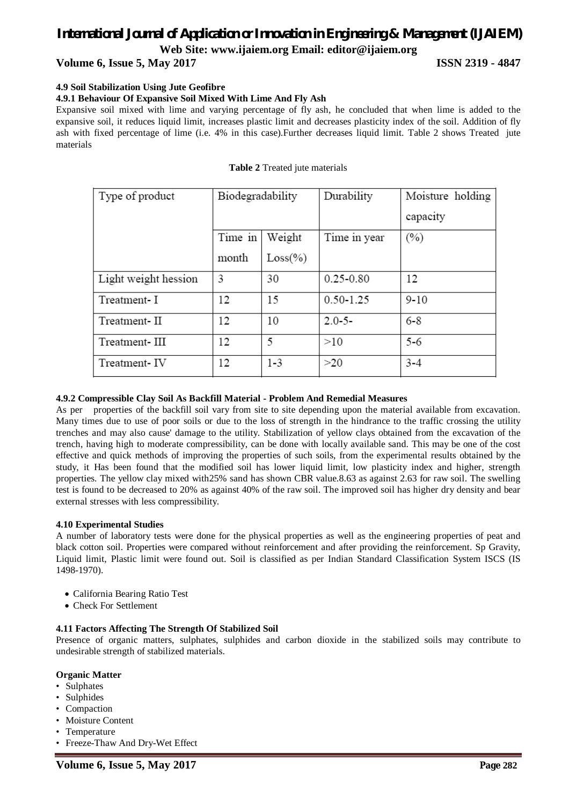### **Volume 6, Issue 5, May 2017 ISSN 2319 - 4847**

#### **4.9 Soil Stabilization Using Jute Geofibre**

#### **4.9.1 Behaviour Of Expansive Soil Mixed With Lime And Fly Ash**

Expansive soil mixed with lime and varying percentage of fly ash, he concluded that when lime is added to the expansive soil, it reduces liquid limit, increases plastic limit and decreases plasticity index of the soil. Addition of fly ash with fixed percentage of lime (i.e. 4% in this case).Further decreases liquid limit. Table 2 shows Treated jute materials

|  |  |  | Table 2 Treated jute materials |
|--|--|--|--------------------------------|
|--|--|--|--------------------------------|

| Type of product      | Biodegradability |             | Durability    | Moisture holding |
|----------------------|------------------|-------------|---------------|------------------|
|                      |                  |             |               | capacity         |
|                      | Time in          | Weight      | Time in year  | $(\%)$           |
|                      | month            | $Loss(\% )$ |               |                  |
| Light weight hession | 3                | 30          | $0.25 - 0.80$ | 12               |
| Treatment-I          | 12               | 15          | $0.50 - 1.25$ | $9 - 10$         |
| Treatment-II         | 12               | 10          | $2.0 - 5 -$   | $6 - 8$          |
| Treatment-III        | 12               | 5           | >10           | $5 - 6$          |
| Treatment-IV         | 12               | $1 - 3$     | >20           | $3 - 4$          |

#### **4.9.2 Compressible Clay Soil As Backfill Material - Problem And Remedial Measures**

As per properties of the backfill soil vary from site to site depending upon the material available from excavation. Many times due to use of poor soils or due to the loss of strength in the hindrance to the traffic crossing the utility trenches and may also cause' damage to the utility. Stabilization of yellow clays obtained from the excavation of the trench, having high to moderate compressibility, can be done with locally available sand. This may be one of the cost effective and quick methods of improving the properties of such soils, from the experimental results obtained by the study, it Has been found that the modified soil has lower liquid limit, low plasticity index and higher, strength properties. The yellow clay mixed with25% sand has shown CBR value.8.63 as against 2.63 for raw soil. The swelling test is found to be decreased to 20% as against 40% of the raw soil. The improved soil has higher dry density and bear external stresses with less compressibility.

#### **4.10 Experimental Studies**

A number of laboratory tests were done for the physical properties as well as the engineering properties of peat and black cotton soil. Properties were compared without reinforcement and after providing the reinforcement. Sp Gravity, Liquid limit, Plastic limit were found out. Soil is classified as per Indian Standard Classification System ISCS (IS 1498-1970).

- California Bearing Ratio Test
- Check For Settlement

#### **4.11 Factors Affecting The Strength Of Stabilized Soil**

Presence of organic matters, sulphates, sulphides and carbon dioxide in the stabilized soils may contribute to undesirable strength of stabilized materials.

#### **Organic Matter**

- Sulphates
- Sulphides
- Compaction
- Moisture Content
- Temperature
- Freeze-Thaw And Dry-Wet Effect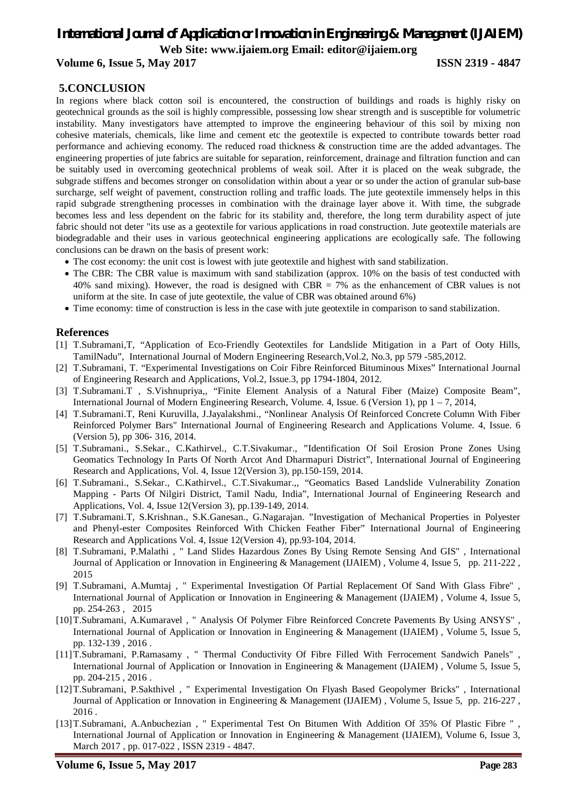**Volume 6, Issue 5, May 2017 ISSN 2319 - 4847**

### **5.CONCLUSION**

In regions where black cotton soil is encountered, the construction of buildings and roads is highly risky on geotechnical grounds as the soil is highly compressible, possessing low shear strength and is susceptible for volumetric instability. Many investigators have attempted to improve the engineering behaviour of this soil by mixing non cohesive materials, chemicals, like lime and cement etc the geotextile is expected to contribute towards better road performance and achieving economy. The reduced road thickness & construction time are the added advantages. The engineering properties of jute fabrics are suitable for separation, reinforcement, drainage and filtration function and can be suitably used in overcoming geotechnical problems of weak soil. After it is placed on the weak subgrade, the subgrade stiffens and becomes stronger on consolidation within about a year or so under the action of granular sub-base surcharge, self weight of pavement, construction rolling and traffic loads. The jute geotextile immensely helps in this rapid subgrade strengthening processes in combination with the drainage layer above it. With time, the subgrade becomes less and less dependent on the fabric for its stability and, therefore, the long term durability aspect of jute fabric should not deter "its use as a geotextile for various applications in road construction. Jute geotextile materials are biodegradable and their uses in various geotechnical engineering applications are ecologically safe. The following conclusions can be drawn on the basis of present work:

- The cost economy: the unit cost is lowest with jute geotextile and highest with sand stabilization.
- The CBR: The CBR value is maximum with sand stabilization (approx. 10% on the basis of test conducted with 40% sand mixing). However, the road is designed with CBR = 7% as the enhancement of CBR values is not uniform at the site. In case of jute geotextile, the value of CBR was obtained around 6%)
- Time economy: time of construction is less in the case with jute geotextile in comparison to sand stabilization.

#### **References**

- [1] T.Subramani,T, "Application of Eco-Friendly Geotextiles for Landslide Mitigation in a Part of Ooty Hills, TamilNadu", International Journal of Modern Engineering Research,Vol.2, No.3, pp 579 -585,2012.
- [2] T.Subramani, T. "Experimental Investigations on Coir Fibre Reinforced Bituminous Mixes" International Journal of Engineering Research and Applications, Vol.2, Issue.3, pp 1794-1804, 2012.
- [3] T.Subramani.T , S.Vishnupriya,, "Finite Element Analysis of a Natural Fiber (Maize) Composite Beam", International Journal of Modern Engineering Research, Volume. 4, Issue. 6 (Version 1), pp 1 – 7, 2014,
- [4] T.Subramani.T, Reni Kuruvilla, J.Jayalakshmi., "Nonlinear Analysis Of Reinforced Concrete Column With Fiber Reinforced Polymer Bars" International Journal of Engineering Research and Applications Volume. 4, Issue. 6 (Version 5), pp 306- 316, 2014.
- [5] T.Subramani., S.Sekar., C.Kathirvel., C.T.Sivakumar., "Identification Of Soil Erosion Prone Zones Using Geomatics Technology In Parts Of North Arcot And Dharmapuri District", International Journal of Engineering Research and Applications, Vol. 4, Issue 12(Version 3), pp.150-159, 2014.
- [6] T.Subramani., S.Sekar., C.Kathirvel., C.T.Sivakumar.,, "Geomatics Based Landslide Vulnerability Zonation Mapping - Parts Of Nilgiri District, Tamil Nadu, India", International Journal of Engineering Research and Applications, Vol. 4, Issue 12(Version 3), pp.139-149, 2014.
- [7] T.Subramani.T, S.Krishnan., S.K.Ganesan., G.Nagarajan. "Investigation of Mechanical Properties in Polyester and Phenyl-ester Composites Reinforced With Chicken Feather Fiber" International Journal of Engineering Research and Applications Vol. 4, Issue 12(Version 4), pp.93-104, 2014.
- [8] T.Subramani, P.Malathi , " Land Slides Hazardous Zones By Using Remote Sensing And GIS" , International Journal of Application or Innovation in Engineering & Management (IJAIEM) , Volume 4, Issue 5, pp. 211-222 , 2015
- [9] T.Subramani, A.Mumtaj , " Experimental Investigation Of Partial Replacement Of Sand With Glass Fibre" , International Journal of Application or Innovation in Engineering & Management (IJAIEM) , Volume 4, Issue 5, pp. 254-263 , 2015
- [10]T.Subramani, A.Kumaravel , " Analysis Of Polymer Fibre Reinforced Concrete Pavements By Using ANSYS" , International Journal of Application or Innovation in Engineering & Management (IJAIEM) , Volume 5, Issue 5, pp. 132-139 , 2016 .
- [11]T.Subramani, P.Ramasamy , " Thermal Conductivity Of Fibre Filled With Ferrocement Sandwich Panels" , International Journal of Application or Innovation in Engineering & Management (IJAIEM) , Volume 5, Issue 5, pp. 204-215 , 2016 .
- [12]T.Subramani, P.Sakthivel , " Experimental Investigation On Flyash Based Geopolymer Bricks" , International Journal of Application or Innovation in Engineering & Management (IJAIEM) , Volume 5, Issue 5, pp. 216-227 , 2016 .
- [13]T.Subramani, A.Anbuchezian , " Experimental Test On Bitumen With Addition Of 35% Of Plastic Fibre " , International Journal of Application or Innovation in Engineering & Management (IJAIEM), Volume 6, Issue 3, March 2017 , pp. 017-022 , ISSN 2319 - 4847.